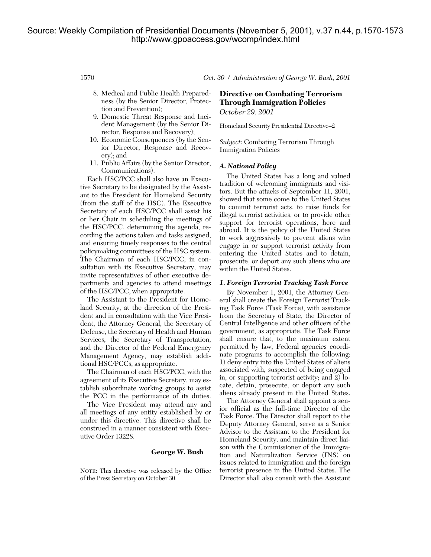1570 *Oct. 30 / Administration of George W. Bush, 2001*

- 8. Medical and Public Health Preparedness (by the Senior Director, Protection and Prevention);
- 9. Domestic Threat Response and Incident Management (by the Senior Director, Response and Recovery);
- 10. Economic Consequences (by the Senior Director, Response and Recovery); and
- 11. Public Affairs (by the Senior Director, Communications).

Each HSC/PCC shall also have an Executive Secretary to be designated by the Assistant to the President for Homeland Security (from the staff of the HSC). The Executive Secretary of each HSC/PCC shall assist his or her Chair in scheduling the meetings of the HSC/PCC, determining the agenda, recording the actions taken and tasks assigned, and ensuring timely responses to the central policymaking committees of the HSC system. The Chairman of each HSC/PCC, in consultation with its Executive Secretary, may invite representatives of other executive departments and agencies to attend meetings of the HSC/PCC, when appropriate.

The Assistant to the President for Homeland Security, at the direction of the President and in consultation with the Vice President, the Attorney General, the Secretary of Defense, the Secretary of Health and Human Services, the Secretary of Transportation, and the Director of the Federal Emergency Management Agency, may establish additional HSC/PCCs, as appropriate.

The Chairman of each HSC/PCC, with the agreement of its Executive Secretary, may establish subordinate working groups to assist the PCC in the performance of its duties.

The Vice President may attend any and all meetings of any entity established by or under this directive. This directive shall be construed in a manner consistent with Executive Order 13228.

## **George W. Bush**

NOTE: This directive was released by the Office of the Press Secretary on October 30.

**Directive on Combating Terrorism**

# **Through Immigration Policies** *October 29, 2001*

Homeland Security Presidential Directive–2

*Subject:* Combating Terrorism Through Immigration Policies

#### *A. National Policy*

The United States has a long and valued tradition of welcoming immigrants and visitors. But the attacks of September 11, 2001, showed that some come to the United States to commit terrorist acts, to raise funds for illegal terrorist activities, or to provide other support for terrorist operations, here and abroad. It is the policy of the United States to work aggressively to prevent aliens who engage in or support terrorist activity from entering the United States and to detain, prosecute, or deport any such aliens who are within the United States.

## *1. Foreign Terrorist Tracking Task Force*

By November 1, 2001, the Attorney General shall create the Foreign Terrorist Tracking Task Force (Task Force), with assistance from the Secretary of State, the Director of Central Intelligence and other officers of the government, as appropriate. The Task Force shall ensure that, to the maximum extent permitted by law, Federal agencies coordinate programs to accomplish the following: 1) deny entry into the United States of aliens associated with, suspected of being engaged in, or supporting terrorist activity; and  $2)$  locate, detain, prosecute, or deport any such aliens already present in the United States.

The Attorney General shall appoint a senior official as the full-time Director of the Task Force. The Director shall report to the Deputy Attorney General, serve as a Senior Advisor to the Assistant to the President for Homeland Security, and maintain direct liaison with the Commissioner of the Immigration and Naturalization Service (INS) on issues related to immigration and the foreign terrorist presence in the United States. The Director shall also consult with the Assistant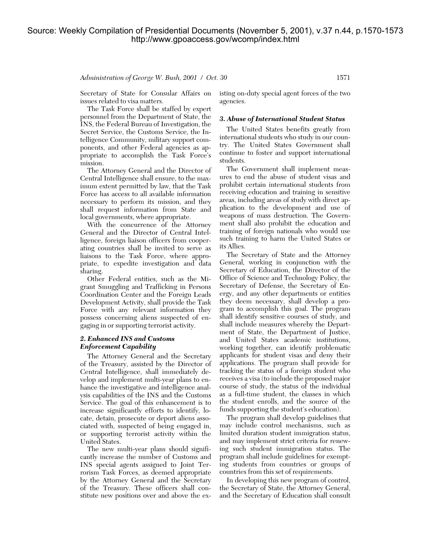#### *Administration of George W. Bush, 2001 / Oct. 30* 1571

Secretary of State for Consular Affairs on issues related to visa matters.

The Task Force shall be staffed by expert personnel from the Department of State, the INS, the Federal Bureau of Investigation, the Secret Service, the Customs Service, the Intelligence Community, military support components, and other Federal agencies as appropriate to accomplish the Task Force's mission.

The Attorney General and the Director of Central Intelligence shall ensure, to the maximum extent permitted by law, that the Task Force has access to all available information necessary to perform its mission, and they shall request information from State and local governments, where appropriate.

With the concurrence of the Attorney General and the Director of Central Intelligence, foreign liaison officers from cooperating countries shall be invited to serve as liaisons to the Task Force, where appropriate, to expedite investigation and data sharing.

Other Federal entities, such as the Migrant Smuggling and Trafficking in Persons Coordination Center and the Foreign Leads Development Activity, shall provide the Task Force with any relevant information they possess concerning aliens suspected of engaging in or supporting terrorist activity.

## *2. Enhanced INS and Customs Enforcement Capability*

The Attorney General and the Secretary of the Treasury, assisted by the Director of Central Intelligence, shall immediately develop and implement multi-year plans to enhance the investigative and intelligence analysis capabilities of the INS and the Customs Service. The goal of this enhancement is to increase significantly efforts to identify, locate, detain, prosecute or deport aliens associated with, suspected of being engaged in, or supporting terrorist activity within the United States.

The new multi-year plans should significantly increase the number of Customs and INS special agents assigned to Joint Terrorism Task Forces, as deemed appropriate by the Attorney General and the Secretary of the Treasury. These officers shall constitute new positions over and above the existing on-duty special agent forces of the two agencies.

#### *3. Abuse of International Student Status*

The United States benefits greatly from international students who study in our country. The United States Government shall continue to foster and support international students.

The Government shall implement measures to end the abuse of student visas and prohibit certain international students from receiving education and training in sensitive areas, including areas of study with direct application to the development and use of weapons of mass destruction. The Government shall also prohibit the education and training of foreign nationals who would use such training to harm the United States or its Allies.

The Secretary of State and the Attorney General, working in conjunction with the Secretary of Education, the Director of the Office of Science and Technology Policy, the Secretary of Defense, the Secretary of Energy, and any other departments or entities they deem necessary, shall develop a program to accomplish this goal. The program shall identify sensitive courses of study, and shall include measures whereby the Department of State, the Department of Justice, and United States academic institutions, working together, can identify problematic applicants for student visas and deny their applications. The program shall provide for tracking the status of a foreign student who receives a visa (to include the proposed major course of study, the status of the individual as a full-time student, the classes in which the student enrolls, and the source of the funds supporting the student's education).

The program shall develop guidelines that may include control mechanisms, such as limited duration student immigration status, and may implement strict criteria for renewing such student immigration status. The program shall include guidelines for exempting students from countries or groups of countries from this set of requirements.

In developing this new program of control, the Secretary of State, the Attorney General, and the Secretary of Education shall consult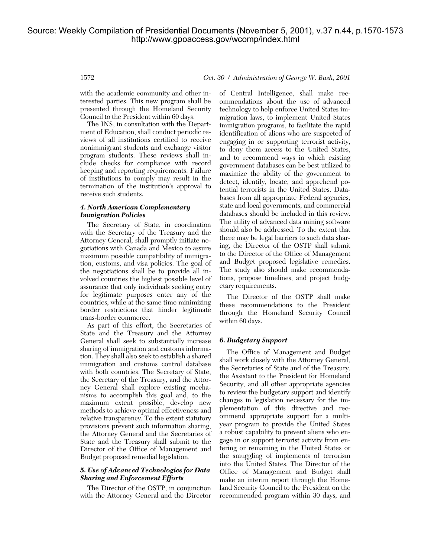with the academic community and other interested parties. This new program shall be presented through the Homeland Security Council to the President within 60 days.

The INS, in consultation with the Department of Education, shall conduct periodic reviews of all institutions certified to receive nonimmigrant students and exchange visitor program students. These reviews shall include checks for compliance with record keeping and reporting requirements. Failure of institutions to comply may result in the termination of the institution's approval to receive such students.

## *4. North American Complementary Immigration Policies*

The Secretary of State, in coordination with the Secretary of the Treasury and the Attorney General, shall promptly initiate negotiations with Canada and Mexico to assure maximum possible compatibility of immigration, customs, and visa policies. The goal of the negotiations shall be to provide all involved countries the highest possible level of assurance that only individuals seeking entry for legitimate purposes enter any of the countries, while at the same time minimizing border restrictions that hinder legitimate trans-border commerce.

As part of this effort, the Secretaries of State and the Treasury and the Attorney General shall seek to substantially increase sharing of immigration and customs information. They shall also seek to establish a shared immigration and customs control database with both countries. The Secretary of State, the Secretary of the Treasury, and the Attorney General shall explore existing mechanisms to accomplish this goal and, to the maximum extent possible, develop new methods to achieve optimal effectiveness and relative transparency. To the extent statutory provisions prevent such information sharing, the Attorney General and the Secretaries of State and the Treasury shall submit to the Director of the Office of Management and Budget proposed remedial legislation.

## *5. Use of Advanced Technologies for Data Sharing and Enforcement Efforts*

The Director of the OSTP, in conjunction with the Attorney General and the Director

## 1572 *Oct. 30 / Administration of George W. Bush, 2001*

of Central Intelligence, shall make recommendations about the use of advanced technology to help enforce United States immigration laws, to implement United States immigration programs, to facilitate the rapid identification of aliens who are suspected of engaging in or supporting terrorist activity, to deny them access to the United States, and to recommend ways in which existing government databases can be best utilized to maximize the ability of the government to detect, identify, locate, and apprehend potential terrorists in the United States. Databases from all appropriate Federal agencies, state and local governments, and commercial databases should be included in this review. The utility of advanced data mining software should also be addressed. To the extent that there may be legal barriers to such data sharing, the Director of the OSTP shall submit to the Director of the Office of Management and Budget proposed legislative remedies. The study also should make recommendations, propose timelines, and project budgetary requirements.

The Director of the OSTP shall make these recommendations to the President through the Homeland Security Council within 60 days.

## *6. Budgetary Support*

The Office of Management and Budget shall work closely with the Attorney General, the Secretaries of State and of the Treasury, the Assistant to the President for Homeland Security, and all other appropriate agencies to review the budgetary support and identify changes in legislation necessary for the implementation of this directive and recommend appropriate support for a multiyear program to provide the United States a robust capability to prevent aliens who engage in or support terrorist activity from entering or remaining in the United States or the smuggling of implements of terrorism into the United States. The Director of the Office of Management and Budget shall make an interim report through the Homeland Security Council to the President on the recommended program within 30 days, and